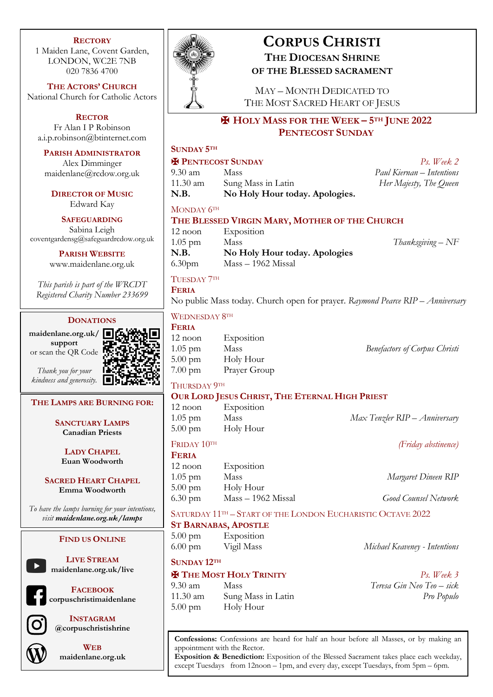### **RECTORY**

1 Maiden Lane, Covent Garden, LONDON, WC2E 7NB 020 7836 4700

**THE ACTORS' CHURCH** National Church for Catholic Actors

**RECTOR** Fr Alan I P Robinson a.i.p.robinson@btinternet.com

**PARISH ADMINISTRATOR**

Alex Dimminger maidenlane@rcdow.org.uk

**DIRECTOR OF MUSIC** Edward Kay

**SAFEGUARDING** Sabina Leigh

coventgardensg@safeguardrcdow.org.uk

**PARISH WEBSITE** www.maidenlane.org.uk

*This parish is part of the WRCDT Registered Charity Number 233699*

## **DONATIONS**

**maidenlane.org.uk/ support** or scan the QR Code

*Thank you for your kindness and generosity.*

## **THE LAMPS ARE BURNING FOR:**

**SANCTUARY LAMPS Canadian Priests**

**LADY CHAPEL Euan Woodworth**

**SACRED HEART CHAPEL Emma Woodworth**

*To have the lamps burning for your intentions, visit maidenlane.org.uk/lamps*

## **FIND US ONLINE**

**maidenlane.org.uk/live**

**LIVE STREAM**



**INSTAGRAM @corpuschristishrine**



**WEB maidenlane.org.uk**



# **CORPUS CHRISTI THE DIOCESAN SHRINE OF THE BLESSED SACRAMENT**

MAY – MONTH DEDICATED TO THE MOST SACRED HEART OF JESUS

## ✠ **HOLY MASS FOR THE WEEK – 5TH JUNE 2022 PENTECOST SUNDAY**

## **SUNDAY 5TH**

## ✠ **PENTECOST SUNDAY** *Ps. Week 2*

9.30 am Mass *Paul Kiernan – Intentions* 11.30 am Sung Mass in Latin *Her Majesty, The Queen* **N.B. No Holy Hour today. Apologies.**

### MONDAY  $6<sup>TH</sup>$

## **THE BLESSED VIRGIN MARY, MOTHER OF THE CHURCH**

12 noon Exposition 1.05 pm Mass *Thanksgiving – NF* **N.B. No Holy Hour today. Apologies** 6.30pm Mass – 1962 Missal

## TUESDAY 7TH

**FERIA** No public Mass today. Church open for prayer. *Raymond Pearce RIP – Anniversary*

WEDNESDAY 8TH

| <b>FERIA</b>      |              |
|-------------------|--------------|
| $12$ noon         | Exposition   |
| $1.05$ pm         | Mass         |
| $5.00 \text{ pm}$ | Holy Hour    |
| $7.00 \text{ pm}$ | Prayer Group |

1.05 pm Mass *Benefactors of Corpus Christi*

### THURSDAY 9TH

## **OUR LORD JESUS CHRIST, THE ETERNAL HIGH PRIEST**

12 noon Exposition 1.05 pm Mass *Max Tenzler RIP – Anniversary* 5.00 pm Holy Hour

FRIDAY 10TH *(Friday abstinence)*

| <b>FERIA</b>      |                      |                             |
|-------------------|----------------------|-----------------------------|
| $12$ noon         | Exposition           |                             |
| $1.05$ pm         | Mass                 | Margaret Dineen RIP         |
| $5.00 \text{ pm}$ | Holy Hour            |                             |
| $6.30 \text{ pm}$ | $Mass - 1962$ Missal | <b>Good Counsel Network</b> |

SATURDAY 11<sup>TH</sup> – START OF THE LONDON EUCHARISTIC OCTAVE 2022

## **ST BARNABAS, APOSTLE**

5.00 pm Exposition

**SUNDAY 12TH**

## ✠ **THE MOST HOLY TRINITY** *Ps. Week 3*

9.30 am Mass *Teresa Gin Neo Teo – sick* 11.30 am Sung Mass in Latin *Pro Populo* 5.00 pm Holy Hour

6.00 pm Vigil Mass *Michael Keaveney - Intentions*

**Confessions:** Confessions are heard for half an hour before all Masses, or by making an appointment with the Rector.

**Exposition & Benediction:** Exposition of the Blessed Sacrament takes place each weekday, except Tuesdays from 12noon – 1pm, and every day, except Tuesdays, from 5pm – 6pm.